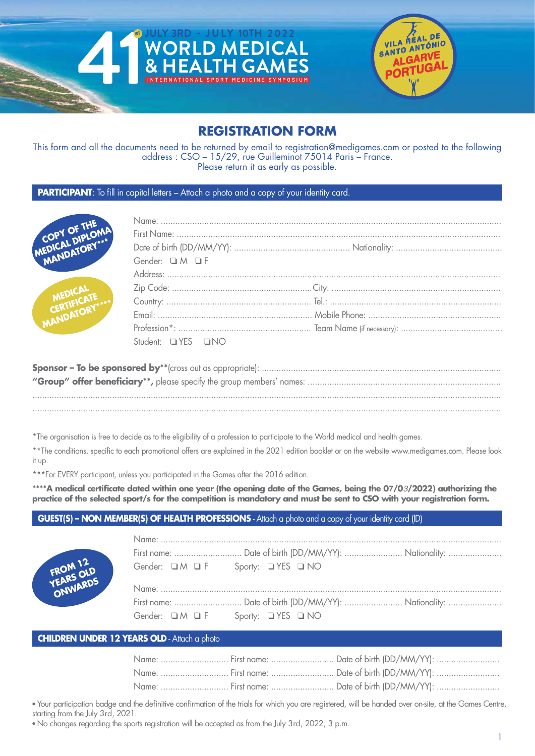



## **REGISTRATION FORM**

This form and all the documents need to be returned by email to registration@medigames.com or posted to the following address : CSO – 15/29, rue Guilleminot 75014 Paris – France. Please return it as early as possible.

## **PARTICIPANT**: To fill in capital letters – Attach a photo and a copy of your identity card.



| Gender: OM OF     |  |
|-------------------|--|
|                   |  |
|                   |  |
|                   |  |
|                   |  |
|                   |  |
| Student: UYES UNO |  |

\*The organisation is free to decide as to the eligibility of a profession to participate to the World medical and health games.

\*\*The conditions, specific to each promotional offers are explained in the 2021 edition booklet or on the website www.medigames.com. Please look it up.

\*\*\*For EVERY participant, unless you participated in the Games after the 2016 edition.

\*\*\*\*A medical certificate dated within one year (the opening date of the Games, being the 07/03/2022) authorizing the practice of the selected sport/s for the competition is mandatory and must be sent to CSO with your registration form.

## **GUEST(S) – NON MEMBER(S) OF HEALTH PROFESSIONS** - Attach a photo and a copy of your identity card (ID)



|                                                    | First name: Date of birth (DD/MM/YY):  Nationality: |  |
|----------------------------------------------------|-----------------------------------------------------|--|
| Gender: $\Box M \Box F$ Sporty: $\Box YES \Box NO$ |                                                     |  |
|                                                    |                                                     |  |
|                                                    |                                                     |  |
|                                                    |                                                     |  |

### **CHILDREN UNDER 12 YEARS OLD** - Attach a photo

|  | Name:  First name:  Date of birth (DD/MM/YY): |
|--|-----------------------------------------------|
|  | Name:  First name:  Date of birth (DD/MM/YY): |
|  | Name:  First name:  Date of birth (DD/MM/YY): |

• Your participation badge and the definitive confirmation of the trials for which you are registered, will be handed over on-site, at the Games Centre, starting from the July 3rd, 2021.

**•** No changes regarding the sports registration will be accepted as from the July 3rd, 2022, 3 p.m.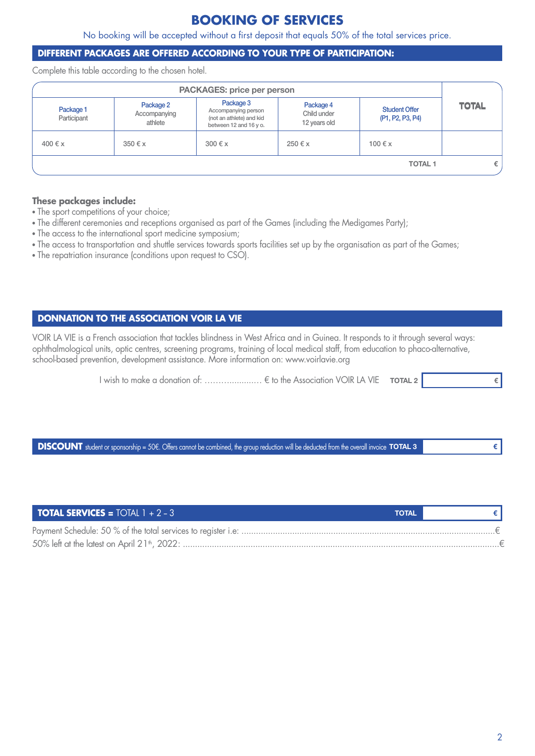## **BOOKING OF SERVICES**

No booking will be accepted without a first deposit that equals 50% of the total services price.

## **DIFFERENT PACKAGES ARE OFFERED ACCORDING TO YOUR TYPE OF PARTICIPATION:**

Complete this table according to the chosen hotel.

|                          |                                      | <b>PACKAGES: price per person</b>                                                      |                                          |                                          |              |
|--------------------------|--------------------------------------|----------------------------------------------------------------------------------------|------------------------------------------|------------------------------------------|--------------|
| Package 1<br>Participant | Package 2<br>Accompanying<br>athlete | Package 3<br>Accompanying person<br>(not an athlete) and kid<br>between 12 and 16 y o. | Package 4<br>Child under<br>12 years old | <b>Student Offer</b><br>(P1, P2, P3, P4) | <b>TOTAL</b> |
| 400 € x                  | $350 \text{ } \in \text{x}$          | $300 \text{ } \in \mathsf{x}$                                                          | 250 € x                                  | 100 € x                                  |              |
|                          |                                      |                                                                                        |                                          | <b>TOTAL1</b>                            | €            |

### **These packages include:**

- **•** The sport competitions of your choice;
- **•** The different ceremonies and receptions organised as part of the Games (including the Medigames Party);
- **•** The access to the international sport medicine symposium;
- The access to transportation and shuttle services towards sports facilities set up by the organisation as part of the Games;
- **•** The repatriation insurance (conditions upon request to CSO).

## **DONNATION TO THE ASSOCIATION VOIR LA VIE**

VOIR LA VIE is a French association that tackles blindness in West Africa and in Guinea. It responds to it through several ways: ophthalmological units, optic centres, screening programs, training of local medical staff, from education to phaco-alternative, school-based prevention, development assistance. More information on: www.voirlavie.org

**l** wish to make a donation of: …………………… € to the Association VOIR LA VIE **тота∟ 2** 

**DISCOUNT** student or sponsorship = 50€. Offers cannot be combined, the group reduction will be deducted from the overall invoice **TOTAL 3** 

| <b>TOTAL SERVICES = TOTAL 1 + 2 - 3</b> | <b>TOTAL</b> |  |
|-----------------------------------------|--------------|--|
|                                         |              |  |
|                                         |              |  |

**€**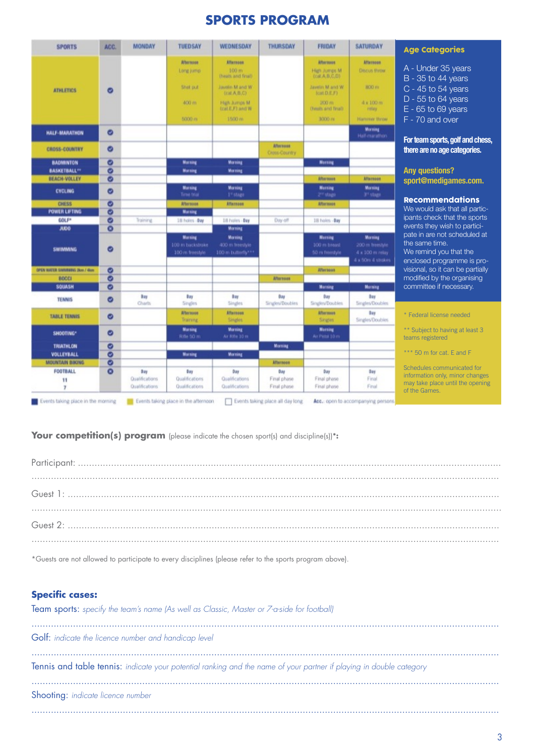# **SPORTS PROGRAM**

| <b>SPORTS</b>                  | ACC.      | <b>MONDAY</b>                           | <b>TUEDSAY</b>                                  | WEDNESDAY                                              | THURSDAY                           | <b>FRIDAY</b>                                      | SATURDAY                                                           |
|--------------------------------|-----------|-----------------------------------------|-------------------------------------------------|--------------------------------------------------------|------------------------------------|----------------------------------------------------|--------------------------------------------------------------------|
|                                |           |                                         | <b>Afternoon</b><br>Long jump                   | <b>Afternook</b><br>100m<br>(heats and final).         |                                    | <b>Afternoon</b><br>High Jumps M.<br>(cat.A.B.C.D) | Afternoon<br><b>Discus throw</b>                                   |
| <b>ATHLETICS</b>               | ø         |                                         | Shot put                                        | Javelin Mand W<br>(cat.A,B,C)                          |                                    | W test M minute<br>$f$ Carl $D.E.F$ )              | BOO H1                                                             |
|                                |           |                                         | 400 m                                           | High Jumps M<br>(cat.E.F) and W                        |                                    | 200 mi<br>(heals and final).                       | 4 x 100 m<br>retay                                                 |
|                                |           |                                         | 5000 m                                          | 1500 m                                                 |                                    | 3000 Hz                                            | <b>Hartener throw</b>                                              |
| <b>HALF-MARATHON</b>           | Ø         |                                         |                                                 |                                                        |                                    |                                                    | <b>Morning</b><br>Half-marathen                                    |
| <b>CROSS-COUNTRY</b>           | Ø         |                                         |                                                 |                                                        | <b>Afternoon</b><br>Cross-Country  |                                                    |                                                                    |
| <b>BADMINTON</b>               | Ø         |                                         | <b>Morning</b>                                  | <b>Morning</b>                                         |                                    | Morning                                            |                                                                    |
| <b>BASKETBALL**</b>            | ø         |                                         | Morning                                         | <b>Morning</b>                                         |                                    |                                                    |                                                                    |
| <b>BEACH-VOLLEY</b>            | ø         |                                         |                                                 |                                                        |                                    | Afternoon                                          | <b>Afternoon</b>                                                   |
| <b>CYCLING</b>                 | ø         |                                         | Morning<br>Time trial                           | Morning<br>1 <sup>1</sup> stops                        |                                    | Morning<br>2 <sup>17</sup> stage                   | <b>Marring</b><br>3 <sup>r</sup> stage                             |
| <b>CHESS</b>                   | ø         |                                         | Afternoon                                       | Attenaen                                               |                                    | <b>Afternoon</b>                                   |                                                                    |
| <b>POWER LIFTING</b>           | ø         |                                         | <b>Morning</b>                                  |                                                        |                                    |                                                    |                                                                    |
| GOLF*                          | ø         | Training                                | 18 holes - Day                                  | 18 Frolen - Day                                        | Dw-off                             | 18 holm - Bay                                      |                                                                    |
| <b>JUDO</b>                    | $\bullet$ |                                         |                                                 | <b>Morning</b>                                         |                                    |                                                    |                                                                    |
| <b>SWIMMING</b>                | ø         |                                         | Morning<br>100 m backstroke<br>100 m freestyle. | <b>Morning</b><br>400 m freestyle<br>100 m bulletly*** |                                    | <b>Murning</b><br>100 m breast<br>50 m freestyle   | Marting<br>200 m freestyle<br>4 x 100 m rolay<br>4 x 50m 4 strokes |
| OPEN WATER SWIMMING 25pm / 4bm | ø         |                                         |                                                 |                                                        |                                    | Afternoon                                          |                                                                    |
| <b>BOCCI</b>                   | ø         |                                         |                                                 |                                                        | Afternom                           |                                                    |                                                                    |
| <b>SQUASH</b>                  | Q         |                                         |                                                 |                                                        |                                    | <b>Morning</b>                                     | <b>Morning</b>                                                     |
| <b>TENNIS</b>                  | ø         | Bay<br>Charls                           | Bay<br>Singles                                  | bay<br><b>Singles</b>                                  | 0 <sub>xy</sub><br>Singles/Doubles | O are<br>Singles/Doubles                           | Bay.<br>Singles/Doubles                                            |
| <b>TABLE TENNIS</b>            | Ø         |                                         | Alternoon<br>Training                           | <b>Afternoon</b><br>Singles                            |                                    | <b>Afternoon</b><br>Singles                        | 0 ay<br>Singles/Doubles                                            |
| SHOOTING*                      | ø         |                                         | Morning<br>Rifle 50 mi                          | <b>Morning</b><br>Ar Rile 10 m                         |                                    | <b>Morning</b><br>Air Pilot 10 m                   |                                                                    |
| <b>TRIATHLON</b>               | ø         |                                         |                                                 |                                                        | Morning                            |                                                    |                                                                    |
| VOLLEYBALL                     | ø         |                                         | <b>Morning</b>                                  | <b>Morning</b>                                         |                                    |                                                    |                                                                    |
| <b>MOUNTAIN BIKING</b>         | ø         |                                         |                                                 |                                                        | <b>Afternoon</b>                   |                                                    |                                                                    |
| <b>FOOTBALL</b><br>11<br>7     | $\circ$   | Day<br>Qualifications<br>Qualifications | Bay<br>Qualifications<br>Qualifications         | 0 ay<br>Qualifications<br>Qualifications               | Day<br>Final phase<br>Final phase  | 0 ay<br>Final phase<br>Final phase                 | Day<br>Final<br>Final                                              |

### Age Categories

| A - Under 35 years   |
|----------------------|
| $B - 35$ to 44 years |
| $C - 45$ to 54 years |
| $D - 55$ to 64 years |
| $E - 65$ to 69 years |

F - 70 and over

**For team sports, golf and chess, there are no age categories.**

#### **Any questions? sport@medigames.com.**

#### Recommendations

We would ask that all participants check that the sports events they wish to participate in are not scheduled at the same time. We remind you that the enclosed programme is provisional, so it can be partially modified by the organising committee if necessary.

\* Federal license needed

\*\* Subject to having at least 3 teams registered

\*\*\* 50 m for cat. E and F

Schedules communicated for information only, minor changes may take place until the opening of the Games.

## Your competition(s) program (please indicate the chosen sport(s) and discipline(s))\*:

\*Guests are not allowed to participate to every disciplines (please refer to the sports program above).

## **Specific cases:**